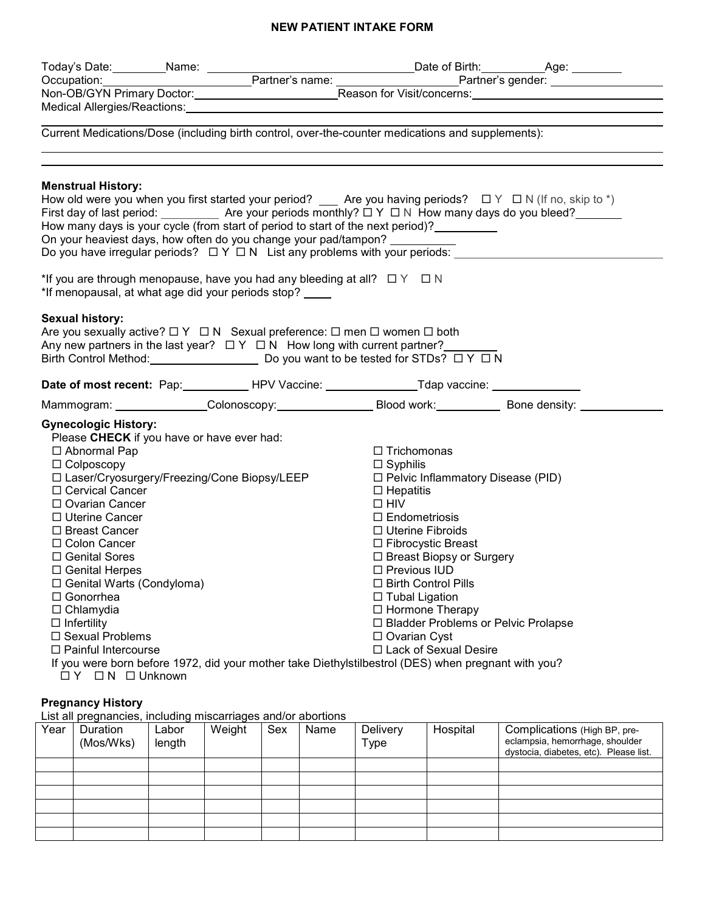## **NEW PATIENT INTAKE FORM**

| Today's Date: ___________Name: ______________                                                                                                                                                                                                                                                                                                                                                                                                                                             |                                                                                                                                                                                                                                                                                                                                                                                                                                                                                          |                                                                                                                                                                                                                                                                                                                                                                                                                       |  |
|-------------------------------------------------------------------------------------------------------------------------------------------------------------------------------------------------------------------------------------------------------------------------------------------------------------------------------------------------------------------------------------------------------------------------------------------------------------------------------------------|------------------------------------------------------------------------------------------------------------------------------------------------------------------------------------------------------------------------------------------------------------------------------------------------------------------------------------------------------------------------------------------------------------------------------------------------------------------------------------------|-----------------------------------------------------------------------------------------------------------------------------------------------------------------------------------------------------------------------------------------------------------------------------------------------------------------------------------------------------------------------------------------------------------------------|--|
|                                                                                                                                                                                                                                                                                                                                                                                                                                                                                           | Occupation: Partner's name: Partner's name: Partner's gender:                                                                                                                                                                                                                                                                                                                                                                                                                            |                                                                                                                                                                                                                                                                                                                                                                                                                       |  |
|                                                                                                                                                                                                                                                                                                                                                                                                                                                                                           |                                                                                                                                                                                                                                                                                                                                                                                                                                                                                          |                                                                                                                                                                                                                                                                                                                                                                                                                       |  |
|                                                                                                                                                                                                                                                                                                                                                                                                                                                                                           | Medical Allergies/Reactions: Manual Medical Allergies/Reactions:                                                                                                                                                                                                                                                                                                                                                                                                                         |                                                                                                                                                                                                                                                                                                                                                                                                                       |  |
|                                                                                                                                                                                                                                                                                                                                                                                                                                                                                           | Current Medications/Dose (including birth control, over-the-counter medications and supplements):                                                                                                                                                                                                                                                                                                                                                                                        |                                                                                                                                                                                                                                                                                                                                                                                                                       |  |
| <b>Menstrual History:</b>                                                                                                                                                                                                                                                                                                                                                                                                                                                                 | How old were you when you first started your period? $\_\_\_\$ Are you having periods? $\Box Y \Box N$ (If no, skip to *)<br>First day of last period: $\_\_\_\_\_\_\$ Are your periods monthly? $\Box$ Y $\Box$ N How many days do you bleed?<br>How many days is your cycle (from start of period to start of the next period)?<br>On your heaviest days, how often do you change your pad/tampon?<br>*If you are through menopause, have you had any bleeding at all? $\Box Y \Box N$ |                                                                                                                                                                                                                                                                                                                                                                                                                       |  |
| *If menopausal, at what age did your periods stop?                                                                                                                                                                                                                                                                                                                                                                                                                                        |                                                                                                                                                                                                                                                                                                                                                                                                                                                                                          |                                                                                                                                                                                                                                                                                                                                                                                                                       |  |
| <b>Sexual history:</b>                                                                                                                                                                                                                                                                                                                                                                                                                                                                    | Are you sexually active? $\Box Y \Box N$ Sexual preference: $\Box$ men $\Box$ women $\Box$ both<br>Any new partners in the last year? $\Box Y \Box N$ How long with current partner?<br>Birth Control Method: Do you want to be tested for STDs? □ Y □ N<br>Date of most recent: Pap: HPV Vaccine: Tdap vaccine: ___________________________                                                                                                                                             |                                                                                                                                                                                                                                                                                                                                                                                                                       |  |
|                                                                                                                                                                                                                                                                                                                                                                                                                                                                                           |                                                                                                                                                                                                                                                                                                                                                                                                                                                                                          |                                                                                                                                                                                                                                                                                                                                                                                                                       |  |
|                                                                                                                                                                                                                                                                                                                                                                                                                                                                                           | Mammogram: Colonoscopy: Blood work: Blood work. Bone density:                                                                                                                                                                                                                                                                                                                                                                                                                            |                                                                                                                                                                                                                                                                                                                                                                                                                       |  |
| <b>Gynecologic History:</b><br>Please CHECK if you have or have ever had:<br>□ Abnormal Pap<br>$\Box$ Colposcopy<br>□ Laser/Cryosurgery/Freezing/Cone Biopsy/LEEP<br>□ Cervical Cancer<br>$\Box$ Ovarian Cancer<br>□ Uterine Cancer<br>□ Breast Cancer<br>□ Colon Cancer<br>□ Genital Sores<br>$\Box$ Genital Herpes<br>$\Box$ Genital Warts (Condyloma)<br>□ Gonorrhea<br>$\Box$ Chlamydia<br>$\Box$ Infertility<br>□ Sexual Problems<br>$\Box$ Painful Intercourse<br>□ Y □ N □ Unknown | If you were born before 1972, did your mother take Diethylstilbestrol (DES) when pregnant with you?                                                                                                                                                                                                                                                                                                                                                                                      | $\Box$ Trichomonas<br>$\Box$ Syphilis<br>□ Pelvic Inflammatory Disease (PID)<br>$\Box$ Hepatitis<br>$\Box$ HIV<br>$\Box$ Endometriosis<br>$\Box$ Uterine Fibroids<br>□ Fibrocystic Breast<br>$\Box$ Breast Biopsy or Surgery<br>$\Box$ Previous IUD<br>□ Birth Control Pills<br>$\Box$ Tubal Ligation<br>□ Hormone Therapy<br>□ Bladder Problems or Pelvic Prolapse<br>$\Box$ Ovarian Cyst<br>□ Lack of Sexual Desire |  |

## **Pregnancy History**

List all pregnancies, including miscarriages and/or abortions

| Year | Duration<br>(Mos/Wks) | ∟abor<br>length | Weight | Sex | Name | Delivery<br>Type | Hospital | Complications (High BP, pre-<br>eclampsia, hemorrhage, shoulder<br>dystocia, diabetes, etc). Please list. |
|------|-----------------------|-----------------|--------|-----|------|------------------|----------|-----------------------------------------------------------------------------------------------------------|
|      |                       |                 |        |     |      |                  |          |                                                                                                           |
|      |                       |                 |        |     |      |                  |          |                                                                                                           |
|      |                       |                 |        |     |      |                  |          |                                                                                                           |
|      |                       |                 |        |     |      |                  |          |                                                                                                           |
|      |                       |                 |        |     |      |                  |          |                                                                                                           |
|      |                       |                 |        |     |      |                  |          |                                                                                                           |